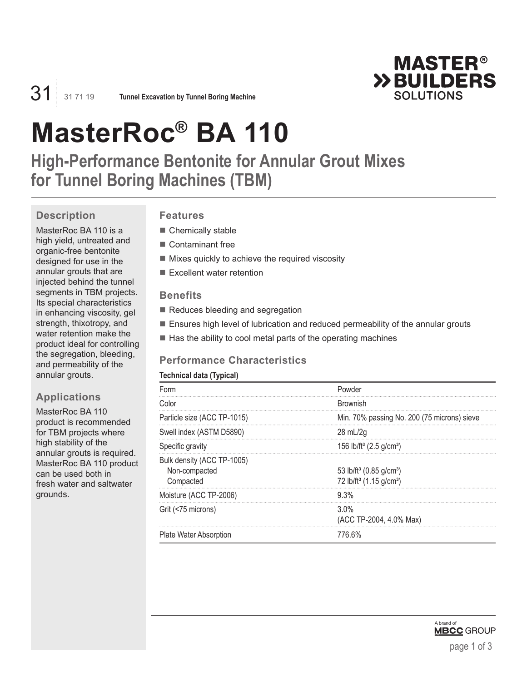

31 31 71 19 **Tunnel Excavation by Tunnel Boring Machine**

# **MasterRoc® BA 110**

**High-Performance Bentonite for Annular Grout Mixes for Tunnel Boring Machines (TBM)**

# **Description**

MasterRoc BA 110 is a high yield, untreated and organic-free bentonite designed for use in the annular grouts that are injected behind the tunnel segments in TBM projects. Its special characteristics in enhancing viscosity, gel strength, thixotropy, and water retention make the product ideal for controlling the segregation, bleeding, and permeability of the annular grouts.

# **Applications**

MasterRoc BA 110 product is recommended for TBM projects where high stability of the annular grouts is required. MasterRoc BA 110 product can be used both in fresh water and saltwater grounds.

# **Features**

- Chemically stable
- Contaminant free
- $\blacksquare$  Mixes quickly to achieve the required viscosity
- $\blacksquare$  Excellent water retention

#### **Benefits**

- Reduces bleeding and segregation
- **Ensures high level of lubrication and reduced permeability of the annular grouts**
- $\blacksquare$  Has the ability to cool metal parts of the operating machines

#### **Performance Characteristics**

#### **Technical data (Typical)**

| Form                                                     | Powder                                                                                             |
|----------------------------------------------------------|----------------------------------------------------------------------------------------------------|
| Color                                                    | <b>Brownish</b>                                                                                    |
| Particle size (ACC TP-1015)                              | Min. 70% passing No. 200 (75 microns) sieve                                                        |
| Swell index (ASTM D5890)                                 | 28 mL/2g                                                                                           |
| Specific gravity                                         | 156 lb/ft <sup>3</sup> (2.5 g/cm <sup>3</sup> )                                                    |
| Bulk density (ACC TP-1005)<br>Non-compacted<br>Compacted | 53 lb/ft <sup>3</sup> (0.85 g/cm <sup>3</sup> )<br>72 lb/ft <sup>3</sup> (1.15 g/cm <sup>3</sup> ) |
| Moisture (ACC TP-2006)                                   | 9.3%                                                                                               |
| Grit (<75 microns)                                       | $3.0\%$<br>(ACC TP-2004, 4.0% Max)                                                                 |
| <b>Plate Water Absorption</b>                            | 776.6%                                                                                             |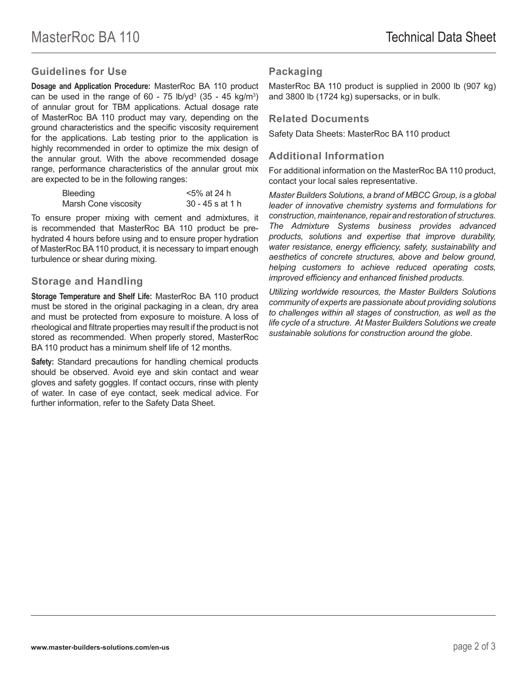### **Guidelines for Use**

**Dosage and Application Procedure:** MasterRoc BA 110 product can be used in the range of 60 - 75 lb/yd<sup>3</sup> (35 - 45 kg/m<sup>3</sup>) of annular grout for TBM applications. Actual dosage rate of MasterRoc BA 110 product may vary, depending on the ground characteristics and the specific viscosity requirement for the applications. Lab testing prior to the application is highly recommended in order to optimize the mix design of the annular grout. With the above recommended dosage range, performance characteristics of the annular grout mix are expected to be in the following ranges:

| Bleeding             | <5% at 24 h      |
|----------------------|------------------|
| Marsh Cone viscosity | 30 - 45 s at 1 h |

To ensure proper mixing with cement and admixtures, it is recommended that MasterRoc BA 110 product be prehydrated 4 hours before using and to ensure proper hydration of MasterRoc BA 110 product, it is necessary to impart enough turbulence or shear during mixing.

#### **Storage and Handling**

**Storage Temperature and Shelf Life:** MasterRoc BA 110 product must be stored in the original packaging in a clean, dry area and must be protected from exposure to moisture. A loss of rheological and filtrate properties may result if the product is not stored as recommended. When properly stored, MasterRoc BA 110 product has a minimum shelf life of 12 months.

**Safety:** Standard precautions for handling chemical products should be observed. Avoid eye and skin contact and wear gloves and safety goggles. If contact occurs, rinse with plenty of water. In case of eye contact, seek medical advice. For further information, refer to the Safety Data Sheet.

## **Packaging**

MasterRoc BA 110 product is supplied in 2000 lb (907 kg) and 3800 lb (1724 kg) supersacks, or in bulk.

#### **Related Documents**

Safety Data Sheets: MasterRoc BA 110 product

### **Additional Information**

For additional information on the MasterRoc BA 110 product, contact your local sales representative.

*Master Builders Solutions, a brand of MBCC Group, is a global leader of innovative chemistry systems and formulations for construction, maintenance, repair and restoration of structures. The Admixture Systems business provides advanced products, solutions and expertise that improve durability, water resistance, energy efficiency, safety, sustainability and aesthetics of concrete structures, above and below ground, helping customers to achieve reduced operating costs, improved efficiency and enhanced finished products.* 

*Utilizing worldwide resources, the Master Builders Solutions community of experts are passionate about providing solutions to challenges within all stages of construction, as well as the life cycle of a structure. At Master Builders Solutions we create sustainable solutions for construction around the globe.*